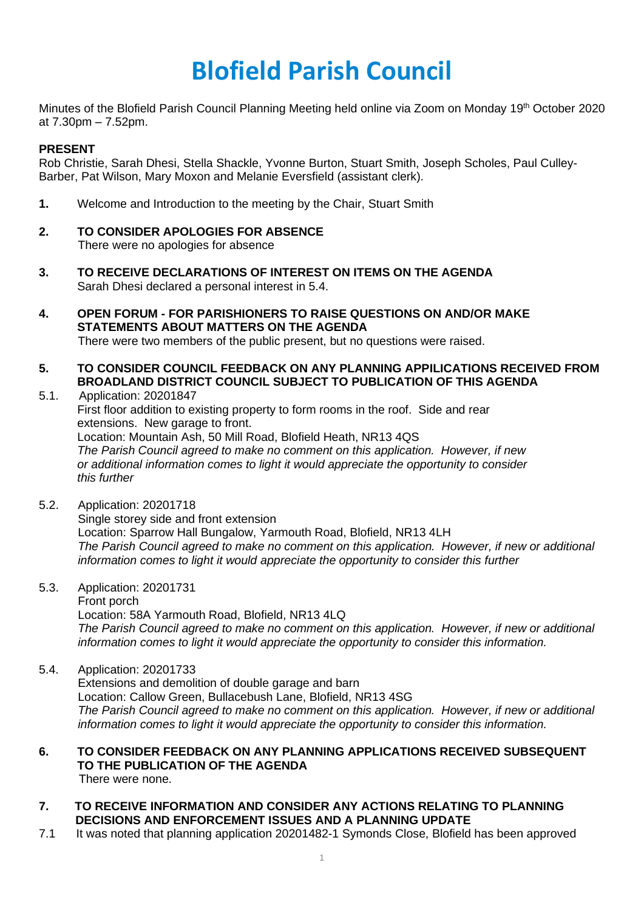## **Blofield Parish Council**

Minutes of the Blofield Parish Council Planning Meeting held online via Zoom on Monday 19<sup>th</sup> October 2020 at 7.30pm – 7.52pm.

## **PRESENT**

Rob Christie, Sarah Dhesi, Stella Shackle, Yvonne Burton, Stuart Smith, Joseph Scholes, Paul Culley-Barber, Pat Wilson, Mary Moxon and Melanie Eversfield (assistant clerk).

- **1.** Welcome and Introduction to the meeting by the Chair, Stuart Smith
- **2. TO CONSIDER APOLOGIES FOR ABSENCE** There were no apologies for absence
- **3. TO RECEIVE DECLARATIONS OF INTEREST ON ITEMS ON THE AGENDA** Sarah Dhesi declared a personal interest in 5.4.
- **4. OPEN FORUM - FOR PARISHIONERS TO RAISE QUESTIONS ON AND/OR MAKE STATEMENTS ABOUT MATTERS ON THE AGENDA**  There were two members of the public present, but no questions were raised.
- **5. TO CONSIDER COUNCIL FEEDBACK ON ANY PLANNING APPILICATIONS RECEIVED FROM BROADLAND DISTRICT COUNCIL SUBJECT TO PUBLICATION OF THIS AGENDA**
- 5.1. Application: 20201847 First floor addition to existing property to form rooms in the roof. Side and rear extensions. New garage to front. Location: Mountain Ash, 50 Mill Road, Blofield Heath, NR13 4QS *The Parish Council agreed to make no comment on this application. However, if new or additional information comes to light it would appreciate the opportunity to consider this further*
- 5.2. Application: 20201718 Single storey side and front extension Location: Sparrow Hall Bungalow, Yarmouth Road, Blofield, NR13 4LH *The Parish Council agreed to make no comment on this application. However, if new or additional information comes to light it would appreciate the opportunity to consider this further*
- 5.3. Application: 20201731 Front porch Location: 58A Yarmouth Road, Blofield, NR13 4LQ *The Parish Council agreed to make no comment on this application. However, if new or additional information comes to light it would appreciate the opportunity to consider this information.*
- 5.4. Application: 20201733 Extensions and demolition of double garage and barn Location: Callow Green, Bullacebush Lane, Blofield, NR13 4SG *The Parish Council agreed to make no comment on this application. However, if new or additional information comes to light it would appreciate the opportunity to consider this information.*
- **6. TO CONSIDER FEEDBACK ON ANY PLANNING APPLICATIONS RECEIVED SUBSEQUENT TO THE PUBLICATION OF THE AGENDA** There were none.
- **7. TO RECEIVE INFORMATION AND CONSIDER ANY ACTIONS RELATING TO PLANNING DECISIONS AND ENFORCEMENT ISSUES AND A PLANNING UPDATE**
- 7.1 It was noted that planning application 20201482-1 Symonds Close, Blofield has been approved